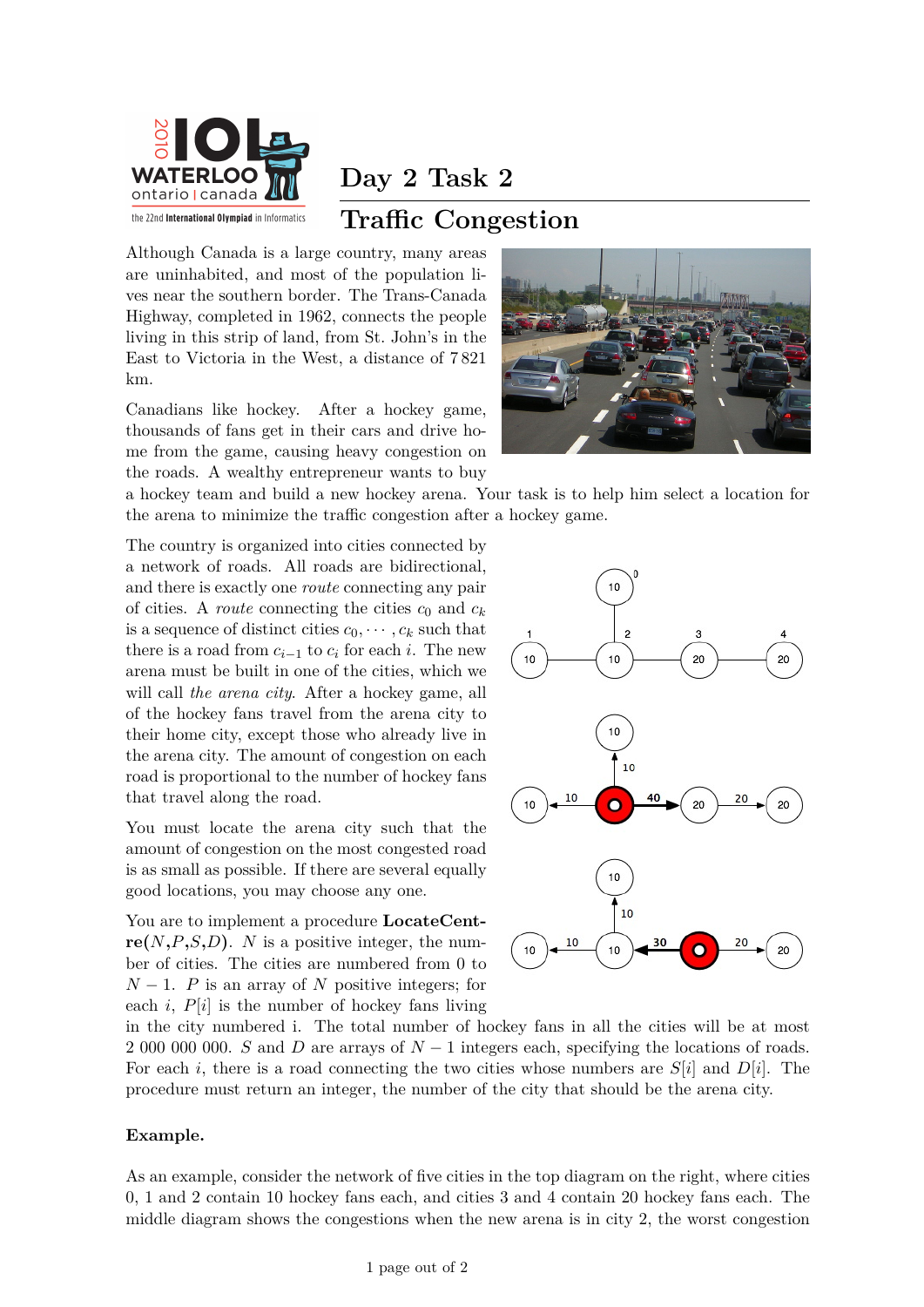

**Day 2 Task 2**

## **Traffic Congestion**

Although Canada is a large country, many areas are uninhabited, and most of the population lives near the southern border. The Trans-Canada Highway, completed in 1962, connects the people living in this strip of land, from St. John's in the East to Victoria in the West, a distance of 7 821 km.

Canadians like hockey. After a hockey game, thousands of fans get in their cars and drive home from the game, causing heavy congestion on the roads. A wealthy entrepreneur wants to buy



a hockey team and build a new hockey arena. Your task is to help him select a location for the arena to minimize the traffic congestion after a hockey game.

The country is organized into cities connected by a network of roads. All roads are bidirectional, and there is exactly one *route* connecting any pair of cities. A *route* connecting the cities  $c_0$  and  $c_k$ is a sequence of distinct cities  $c_0, \dots, c_k$  such that there is a road from  $c_{i-1}$  to  $c_i$  for each *i*. The new arena must be built in one of the cities, which we will call *the arena city*. After a hockey game, all of the hockey fans travel from the arena city to their home city, except those who already live in the arena city. The amount of congestion on each road is proportional to the number of hockey fans that travel along the road.

You must locate the arena city such that the amount of congestion on the most congested road is as small as possible. If there are several equally good locations, you may choose any one.

You are to implement a procedure **LocateCent** $r\mathbf{e}(N, P, S, D)$ . *N* is a positive integer, the number of cities. The cities are numbered from 0 to  $N-1$ . *P* is an array of *N* positive integers; for each  $i$ ,  $P[i]$  is the number of hockey fans living



in the city numbered i. The total number of hockey fans in all the cities will be at most 2 000 000 000. *S* and *D* are arrays of *N* − 1 integers each, specifying the locations of roads. For each *i*, there is a road connecting the two cities whose numbers are *S*[*i*] and *D*[*i*]. The procedure must return an integer, the number of the city that should be the arena city.

#### **Example.**

As an example, consider the network of five cities in the top diagram on the right, where cities 0, 1 and 2 contain 10 hockey fans each, and cities 3 and 4 contain 20 hockey fans each. The middle diagram shows the congestions when the new arena is in city 2, the worst congestion